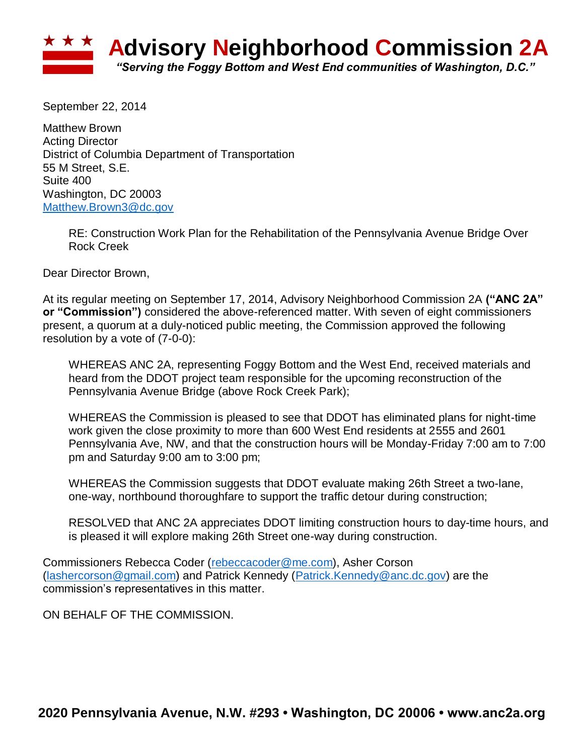

September 22, 2014

Matthew Brown Acting Director District of Columbia Department of Transportation 55 M Street, S.E. Suite 400 Washington, DC 20003 [Matthew.Brown3@dc.gov](mailto:Matthew.Brown3@dc.gov)

> RE: Construction Work Plan for the Rehabilitation of the Pennsylvania Avenue Bridge Over Rock Creek

Dear Director Brown,

At its regular meeting on September 17, 2014, Advisory Neighborhood Commission 2A **("ANC 2A" or "Commission")** considered the above-referenced matter. With seven of eight commissioners present, a quorum at a duly-noticed public meeting, the Commission approved the following resolution by a vote of (7-0-0):

WHEREAS ANC 2A, representing Foggy Bottom and the West End, received materials and heard from the DDOT project team responsible for the upcoming reconstruction of the Pennsylvania Avenue Bridge (above Rock Creek Park);

WHEREAS the Commission is pleased to see that DDOT has eliminated plans for night-time work given the close proximity to more than 600 West End residents at 2555 and 2601 Pennsylvania Ave, NW, and that the construction hours will be Monday-Friday 7:00 am to 7:00 pm and Saturday 9:00 am to 3:00 pm;

WHEREAS the Commission suggests that DDOT evaluate making 26th Street a two-lane, one-way, northbound thoroughfare to support the traffic detour during construction;

RESOLVED that ANC 2A appreciates DDOT limiting construction hours to day-time hours, and is pleased it will explore making 26th Street one-way during construction.

Commissioners Rebecca Coder [\(rebeccacoder@me.com\)](mailto:rebeccacoder@me.com), Asher Corson [\(lashercorson@gmail.com\)](mailto:lashercorson@gmail.com) and Patrick Kennedy [\(Patrick.Kennedy@anc.dc.gov\)](mailto:Patrick.Kennedy@anc.dc.gov) are the commission's representatives in this matter.

ON BEHALF OF THE COMMISSION.